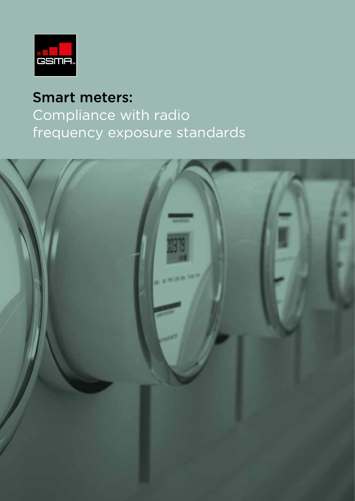

# Smart meters: Compliance with radio frequency exposure standards

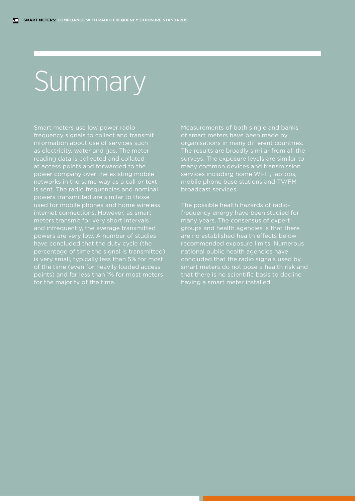# Summary

Smart meters use low power radio frequency signals to collect and transmit information about use of services such as electricity, water and gas. The meter reading data is collected and collated at access points and forwarded to the power company over the existing mobile networks in the same way as a call or text is sent. The radio frequencies and nominal powers transmitted are similar to those used for mobile phones and home wireless and infrequently, the average transmitted powers are very low. A number of studies have concluded that the duty cycle (the percentage of time the signal is transmitted) is very small, typically less than 5% for most of the time (even for heavily loaded access

Measurements of both single and banks of smart meters have been made by organisations in many different countries. The results are broadly similar from all the surveys. The exposure levels are similar to services including home Wi-Fi, laptops, mobile phone base stations and TV/FM broadcast services.

The possible health hazards of radiofrequency energy have been studied for many years. The consensus of expert groups and health agencies is that there are no established health effects below recommended exposure limits. Numerous national public health agencies have concluded that the radio signals used by having a smart meter installed.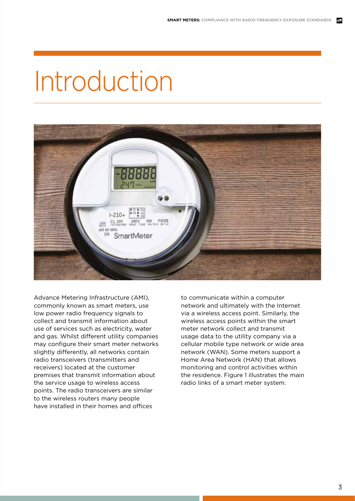# Introduction



Advance Metering Infrastructure (AMI), commonly known as smart meters, use low power radio frequency signals to collect and transmit information about use of services such as electricity, water and gas. Whilst different utility companies may configure their smart meter networks slightly differently, all networks contain radio transceivers (transmitters and receivers) located at the customer premises that transmit information about the service usage to wireless access points. The radio transceivers are similar to the wireless routers many people have installed in their homes and offices

to communicate within a computer network and ultimately with the Internet via a wireless access point. Similarly, the wireless access points within the smart meter network collect and transmit usage data to the utility company via a cellular mobile type network or wide area network (WAN). Some meters support a Home Area Network (HAN) that allows monitoring and control activities within the residence. Figure 1 illustrates the main radio links of a smart meter system.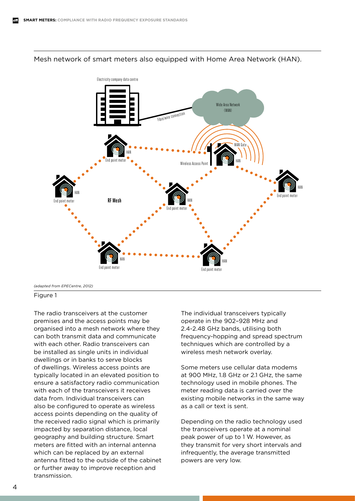

#### Mesh network of smart meters also equipped with Home Area Network (HAN).

*(adapted from EPECentre, 2012)*

#### Figure 1

The radio transceivers at the customer premises and the access points may be organised into a mesh network where they can both transmit data and communicate with each other. Radio transceivers can be installed as single units in individual dwellings or in banks to serve blocks of dwellings. Wireless access points are typically located in an elevated position to ensure a satisfactory radio communication with each of the transceivers it receives data from. Individual transceivers can also be configured to operate as wireless access points depending on the quality of the received radio signal which is primarily impacted by separation distance, local geography and building structure. Smart meters are fitted with an internal antenna which can be replaced by an external antenna fitted to the outside of the cabinet or further away to improve reception and transmission.

The individual transceivers typically operate in the 902–928 MHz and 2.4-2.48 GHz bands, utilising both frequency-hopping and spread spectrum techniques which are controlled by a wireless mesh network overlay.

Some meters use cellular data modems at 900 MHz, 1.8 GHz or 2.1 GHz, the same technology used in mobile phones. The meter reading data is carried over the existing mobile networks in the same way as a call or text is sent.

Depending on the radio technology used the transceivers operate at a nominal peak power of up to 1 W. However, as they transmit for very short intervals and infrequently, the average transmitted powers are very low.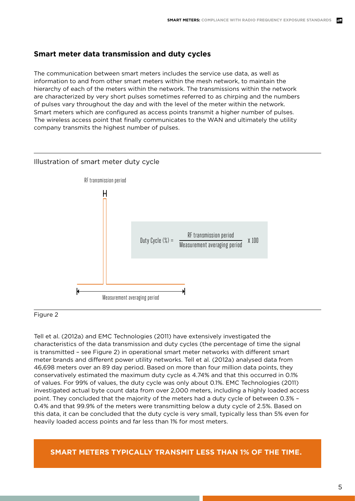# **Smart meter data transmission and duty cycles**

The communication between smart meters includes the service use data, as well as information to and from other smart meters within the mesh network, to maintain the hierarchy of each of the meters within the network. The transmissions within the network are characterized by very short pulses sometimes referred to as chirping and the numbers of pulses vary throughout the day and with the level of the meter within the network. Smart meters which are configured as access points transmit a higher number of pulses. The wireless access point that finally communicates to the WAN and ultimately the utility company transmits the highest number of pulses.



#### Illustration of smart meter duty cycle

#### Figure 2

Tell et al. (2012a) and EMC Technologies (2011) have extensively investigated the characteristics of the data transmission and duty cycles (the percentage of time the signal is transmitted – see Figure 2) in operational smart meter networks with different smart meter brands and different power utility networks. Tell et al. (2012a) analysed data from 46,698 meters over an 89 day period. Based on more than four million data points, they conservatively estimated the maximum duty cycle as 4.74% and that this occurred in 0.1% of values. For 99% of values, the duty cycle was only about 0.1%. EMC Technologies (2011) investigated actual byte count data from over 2,000 meters, including a highly loaded access point. They concluded that the majority of the meters had a duty cycle of between 0.3% – 0.4% and that 99.9% of the meters were transmitting below a duty cycle of 2.5%. Based on this data, it can be concluded that the duty cycle is very small, typically less than 5% even for heavily loaded access points and far less than 1% for most meters.

**SMART METERS TYPICALLY TRANSMIT LESS THAN 1% OF THE TIME.**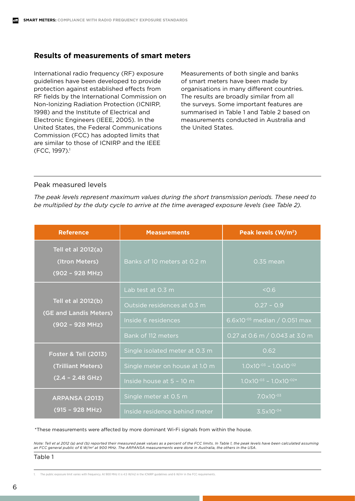#### **Results of measurements of smart meters**

International radio frequency (RF) exposure guidelines have been developed to provide protection against established effects from RF fields by the International Commission on Non-Ionizing Radiation Protection (ICNIRP, 1998) and the Institute of Electrical and Electronic Engineers (IEEE, 2005). In the United States, the Federal Communications Commission (FCC) has adopted limits that are similar to those of ICNIRP and the IEEE (FCC, 1997).1

Measurements of both single and banks of smart meters have been made by organisations in many different countries. The results are broadly similar from all the surveys. Some important features are summarised in Table 1 and Table 2 based on measurements conducted in Australia and the United States.

#### Peak measured levels

*The peak levels represent maximum values during the short transmission periods. These need to be multiplied by the duty cycle to arrive at the time averaged exposure levels (see Table 2).*

| <b>Reference</b>                                                            | <b>Measurements</b>            | Peak levels (W/m <sup>2</sup> )                |
|-----------------------------------------------------------------------------|--------------------------------|------------------------------------------------|
| Tell et al 2012(a)<br>(Itron Meters)<br>$\sqrt{(902 - 928 \text{ MHz})^2}$  | Banks of 10 meters at 0.2 m    | $0.35$ mean                                    |
| Tell et al 2012(b)<br>(GE and Landis Meters)<br>$(902 - 928 MHz)$           | Lab test at 0.3 m              | 50.6                                           |
|                                                                             | Outside residences at 0.3 m    | $0.27 - 0.9$                                   |
|                                                                             | Inside 6 residences            | 6.6x10 $-0.5$ median / 0.051 max               |
|                                                                             | Bank of 112 meters             | 0.27 at 0.6 m / 0.043 at 3.0 m                 |
| <b>Foster &amp; Tell (2013)</b><br>(Trilliant Meters)<br>$(2.4 - 2.48$ GHz) | Single isolated meter at 0.3 m | 0.62                                           |
|                                                                             | Single meter on house at 1.0 m | $1.0 \times 10^{-03} - 1.0 \times 10^{-02}$    |
|                                                                             | Inside house at 5 - 10 m       | $1.0 \times 10^{-03}$ - $1.0 \times 10^{-02*}$ |
| <b>ARPANSA (2013)</b><br>(915 - 928 MHz)                                    | Single meter at 0.5 m          | $7.0 \times 10^{-03}$                          |
|                                                                             | Inside residence behind meter  | $3.5x10^{-04}$                                 |

\*These measurements were affected by more dominant Wi-Fi signals from within the house.

Note: Tell et al 2012 (a) and (b) reported their measured peak values as a percent of the FCC limits. In Table 1, the peak levels have been calculated assuming<br>an FCC general public of 6 W/m² at 900 MHz. The ARPANSA measur

Table 1

1. The public exposure limit varies with frequency. At 900 MHz it is 4.5 W/m2 in the ICNIRP guidelines and 6 W/m2 in the FCC requirements.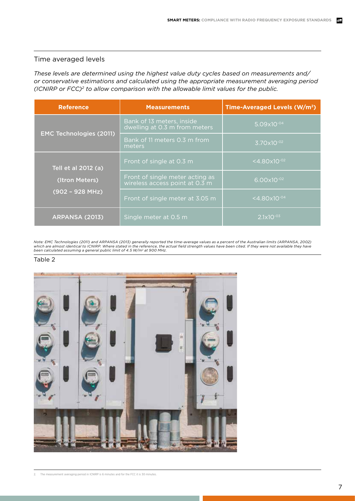### Time averaged levels

*These levels are determined using the highest value duty cycles based on measurements and/ or conservative estimations and calculated using the appropriate measurement averaging period (ICNIRP or FCC)2 to allow comparison with the allowable limit values for the public.*

| <b>Reference</b>               | <b>Measurements</b>                                               | Time-Averaged Levels (W/m <sup>2</sup> ) |
|--------------------------------|-------------------------------------------------------------------|------------------------------------------|
| <b>EMC Technologies (2011)</b> | Bank of 13 meters, inside<br>dwelling at 0.3 m from meters        | $5.09\times10^{-04}$                     |
|                                | Bank of 11 meters 0.3 m from<br>meters                            | $3.70\times10^{-02}$                     |
| Tell et al 2012 (a)            | Front of single at 0.3 m                                          | $<$ 4.80 $\times$ 10 <sup>-02</sup>      |
| (Itron Meters)                 | Front of single meter acting as<br>wireless access point at 0.3 m | $6.00x10^{-02}$                          |
| $(902 - 928 MHz)$              | Front of single meter at 3.05 m                                   | $< 4.80 \times 10^{-04}$                 |
| <b>ARPANSA (2013)</b>          | Single meter at 0.5 m                                             | $2.1 \times 10^{-03}$                    |

Note: EMC Technologies (2011) and ARPANSA (2013) generally reported the time-average values as a percent of the Australian limits (ARPANSA, 2002)<br>which are almost identical to ICNIRP. Where stated in the reference, the act

#### Table 2



2. The measurement averaging period in ICNIRP is 6 minutes and for the FCC it is 30 minutes.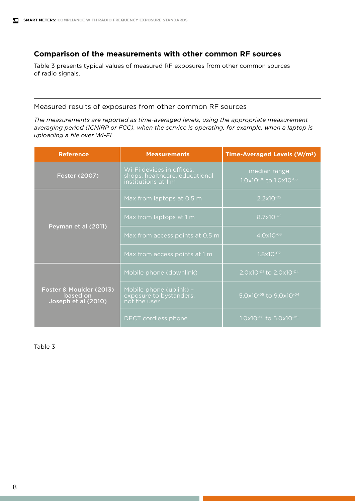# **Comparison of the measurements with other common RF sources**

Table 3 presents typical values of measured RF exposures from other common sources of radio signals.

#### Measured results of exposures from other common RF sources

*The measurements are reported as time-averaged levels, using the appropriate measurement averaging period (ICNIRP or FCC), when the service is operating, for example, when a laptop is uploading a file over Wi-Fi.* 

| <b>Reference</b>                                           | <b>Measurements</b>                                                                | Time-Averaged Levels (W/m <sup>2</sup> )                   |
|------------------------------------------------------------|------------------------------------------------------------------------------------|------------------------------------------------------------|
| Foster (2007)                                              | Wi-Fi devices in offices,<br>shops, healthcare, educational<br>institutions at 1 m | median range<br>$1.0\times10^{-06}$ to $1.0\times10^{-05}$ |
| Peyman et al (2011)                                        | Max from laptops at 0.5 m                                                          | $2.2 \times 10^{-02}$                                      |
|                                                            | Max from laptops at 1 m                                                            | $8.7x10^{-02}$                                             |
|                                                            | Max from access points at 0.5 m                                                    | $4.0 \times 10^{-03}$                                      |
|                                                            | Max from access points at 1 m                                                      | $1.8 \times 10^{-02}$                                      |
| Foster & Moulder (2013)<br>based on<br>Joseph et al (2010) | Mobile phone (downlink)                                                            | 2.0x10 <sup>-05</sup> to 2.0x10 <sup>-04</sup>             |
|                                                            | Mobile phone (uplink) -<br>exposure to bystanders,<br>not the user                 | 5.0x10 <sup>-05</sup> to 9.0x10 <sup>-04</sup>             |
|                                                            | DECT cordless phone                                                                | $1.0\times10^{-06}$ to 5.0x10 <sup>-05</sup>               |

Table 3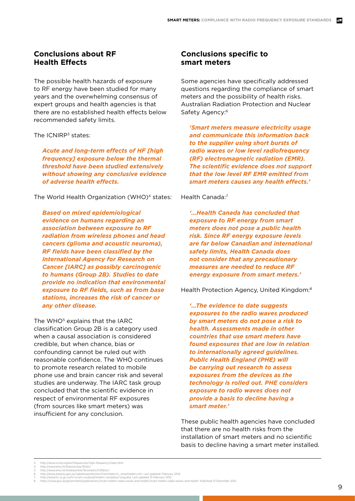### **Conclusions about RF Health Effects**

The possible health hazards of exposure to RF energy have been studied for many years and the overwhelming consensus of expert groups and health agencies is that there are no established health effects below recommended safety limits.

The ICNIRP<sup>3</sup> states:

 *Acute and long-term effects of HF [high frequency] exposure below the thermal threshold have been studied extensively without showing any conclusive evidence of adverse health effects.* 

The World Health Organization (WHO)<sup>4</sup> states:

 *Based on mixed epidemiological evidence on humans regarding an association between exposure to RF radiation from wireless phones and head cancers (glioma and acoustic neuroma), RF fields have been classified by the International Agency for Research on Cancer [IARC] as possibly carcinogenic to humans (Group 2B). Studies to date provide no indication that environmental exposure to RF fields, such as from base stations, increases the risk of cancer or any other disease.*

The WHO<sup>5</sup> explains that the IARC classification Group 2B is a category used when a causal association is considered credible, but when chance, bias or confounding cannot be ruled out with reasonable confidence. The WHO continues to promote research related to mobile phone use and brain cancer risk and several studies are underway. The IARC task group concluded that the scientific evidence in respect of environmental RF exposures (from sources like smart meters) was insufficient for any conclusion.

## **Conclusions specific to smart meters**

Some agencies have specifically addressed questions regarding the compliance of smart meters and the possibility of health risks. Australian Radiation Protection and Nuclear Safety Agency:<sup>6</sup>

*'Smart meters measure electricity usage and communicate this information back to the supplier using short bursts of radio waves or low level radiofrequency (RF) electromagnetic radiation (EMR). The scientific evidence does not support that the low level RF EMR emitted from smart meters causes any health effects.'*

#### Health Canada:7

*'…Health Canada has concluded that exposure to RF energy from smart meters does not pose a public health risk. Since RF energy exposure levels are far below Canadian and international safety limits, Health Canada does not consider that any precautionary measures are needed to reduce RF energy exposure from smart meters.'*

Health Protection Agency, United Kingdom:8

*'…The evidence to date suggests exposures to the radio waves produced by smart meters do not pose a risk to health. Assessments made in other countries that use smart meters have found exposures that are low in relation to internationally agreed guidelines. Public Health England (PHE) will be carrying out research to assess exposures from the devices as the technology is rolled out. PHE considers exposure to radio waves does not provide a basis to decline having a smart meter.'*

These public health agencies have concluded that there are no health risks from the installation of smart meters and no scientific basis to decline having a smart meter installed.

<sup>3.</sup> http://www.icnirp.org/en/frequencies/high-frequency/index.html http://www.who.int/features/ga/30/en/

<sup>5.</sup> http://www.who.int/mediacentre/factsheets/fs193/en/<br>6. http://www.arpansa.gov.au/radiationprotection/Factsheets/is\_smartmeters.cfm. Last updated: February 2014.<br>7. http://www.hc-sc.g.c.a/hl-vs/iyh-vsv/prod/meters-compte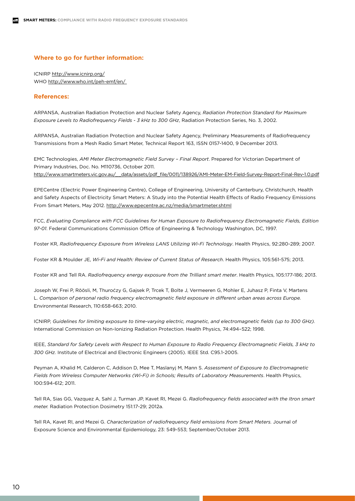#### **Where to go for further information:**

ICNIRP http://www.icnirp.org/ WHO http://www.who.int/peh-emf/en/

#### **References:**

ARPANSA, Australian Radiation Protection and Nuclear Safety Agency, *Radiation Protection Standard for Maximum Exposure Levels to Radiofrequency Fields - 3 kHz to 300 GHz*, Radiation Protection Series, No. 3, 2002.

ARPANSA, Australian Radiation Protection and Nuclear Safety Agency, Preliminary Measurements of Radiofrequency Transmissions from a Mesh Radio Smart Meter, Technical Report 163, ISSN 0157-1400, 9 December 2013.

EMC Technologies, *AMI Meter Electromagnetic Field Survey – Final Report*. Prepared for Victorian Department of Primary Industries, Doc. No. M110736, October 2011. http://www.smartmeters.vic.gov.au/\_\_data/assets/pdf\_file/0011/138926/AMI-Meter-EM-Field-Survey-Report-Final-Rev-1.0.pdf

EPECentre (Electric Power Engineering Centre), College of Engineering, University of Canterbury, Christchurch, Health and Safety Aspects of Electricity Smart Meters: A Study into the Potential Health Effects of Radio Frequency Emissions From Smart Meters, May 2012. http://www.epecentre.ac.nz/media/smartmeter.shtml

FCC, *Evaluating Compliance with FCC Guidelines for Human Exposure to Radiofrequency Electromagnetic Fields, Edition 97-01*. Federal Communications Commission Office of Engineering & Technology Washington, DC, 1997.

Foster KR, *Radiofrequency Exposure from Wireless LANS Utilizing Wi-Fi Technology*. Health Physics, 92:280-289; 2007.

Foster KR & Moulder JE, *Wi-Fi and Health: Review of Current Status of Research*. Health Physics, 105:561-575; 2013.

Foster KR and Tell RA. *Radiofrequency energy exposure from the Trilliant smart meter*. Health Physics, 105:177-186; 2013.

Joseph W, Frei P, Röösli, M, Thuroćzy G, Gajsek P, Trcek T, Bolte J, Vermeeren G, Mohler E, Juhasz P, Finta V, Martens L. *Comparison of personal radio frequency electromagnetic field exposure in different urban areas across Europe.* Environmental Research, 110:658-663; 2010.

ICNIRP, *Guidelines for limiting exposure to time-varying electric, magnetic, and electromagnetic fields (up to 300 GHz).*  International Commission on Non-Ionizing Radiation Protection. Health Physics, 74:494–522; 1998.

IEEE, *Standard for Safety Levels with Respect to Human Exposure to Radio Frequency Electromagnetic Fields, 3 kHz to 300 GHz.* Institute of Electrical and Electronic Engineers (2005). IEEE Std. C95.1-2005.

Peyman A, Khalid M, Calderon C, Addison D, Mee T, Maslanyj M, Mann S. *Assessment of Exposure to Electromagnetic Fields from Wireless Computer Networks (Wi-Fi) in Schools; Results of Laboratory Measurements*. Health Physics, 100:594-612; 2011.

Tell RA, Sias GG, Vazquez A, Sahl J, Turman JP, Kavet RI, Mezei G. *Radiofrequency fields associated with the Itron smart meter.* Radiation Protection Dosimetry 151:17-29; 2012a.

Tell RA, Kavet RI, and Mezei G. *Characterization of radiofrequency field emissions from Smart Meters.* Journal of Exposure Science and Environmental Epidemiology, 23: 549-553; September/October 2013.